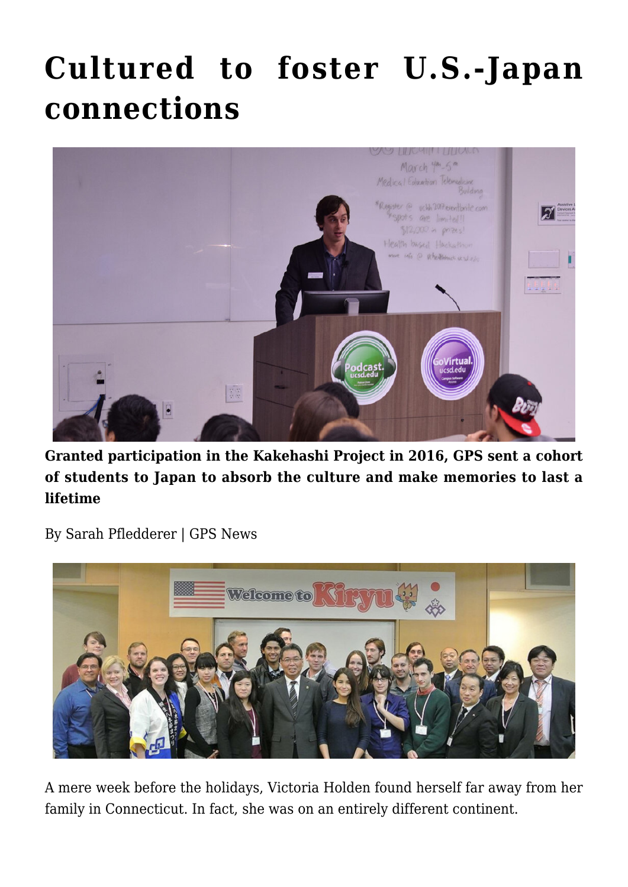## **[Cultured to foster U.S.-Japan](https://gpsnews.ucsd.edu/cultured-to-foster-us-japan-connections/) [connections](https://gpsnews.ucsd.edu/cultured-to-foster-us-japan-connections/)**



**Granted participation in the Kakehashi Project in 2016, GPS sent a cohort of students to Japan to absorb the culture and make memories to last a lifetime**

By Sarah Pfledderer | GPS News



A mere week before the holidays, Victoria Holden found herself far away from her family in Connecticut. In fact, she was on an entirely different continent.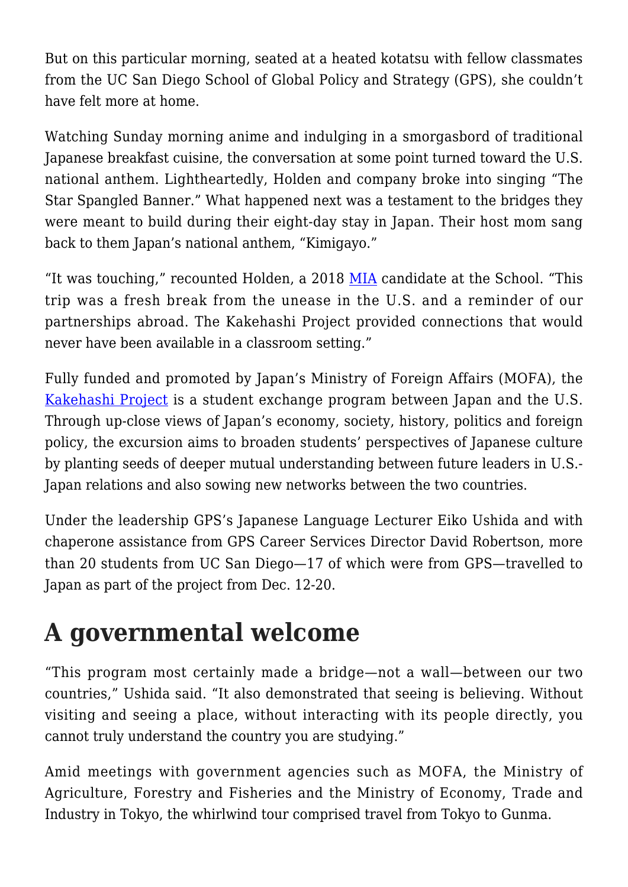But on this particular morning, seated at a heated kotatsu with fellow classmates from the UC San Diego School of Global Policy and Strategy (GPS), she couldn't have felt more at home.

Watching Sunday morning anime and indulging in a smorgasbord of traditional Japanese breakfast cuisine, the conversation at some point turned toward the U.S. national anthem. Lightheartedly, Holden and company broke into singing "The Star Spangled Banner." What happened next was a testament to the bridges they were meant to build during their eight-day stay in Japan. Their host mom sang back to them Japan's national anthem, "Kimigayo."

"It was touching," recounted Holden, a 2018 [MIA](https://gps.ucsd.edu/academics/mia.html) candidate at the School. "This trip was a fresh break from the unease in the U.S. and a reminder of our partnerships abroad. The Kakehashi Project provided connections that would never have been available in a classroom setting."

Fully funded and promoted by Japan's Ministry of Foreign Affairs (MOFA), the [Kakehashi Project](http://www.laurasian.org/kakehashi/) is a student exchange program between Japan and the U.S. Through up-close views of Japan's economy, society, history, politics and foreign policy, the excursion aims to broaden students' perspectives of Japanese culture by planting seeds of deeper mutual understanding between future leaders in U.S.- Japan relations and also sowing new networks between the two countries.

Under the leadership GPS's Japanese Language Lecturer Eiko Ushida and with chaperone assistance from GPS Career Services Director David Robertson, more than 20 students from UC San Diego—17 of which were from GPS—travelled to Japan as part of the project from Dec. 12-20.

## **A governmental welcome**

"This program most certainly made a bridge—not a wall—between our two countries," Ushida said. "It also demonstrated that seeing is believing. Without visiting and seeing a place, without interacting with its people directly, you cannot truly understand the country you are studying."

Amid meetings with government agencies such as MOFA, the Ministry of Agriculture, Forestry and Fisheries and the Ministry of Economy, Trade and Industry in Tokyo, the whirlwind tour comprised travel from Tokyo to Gunma.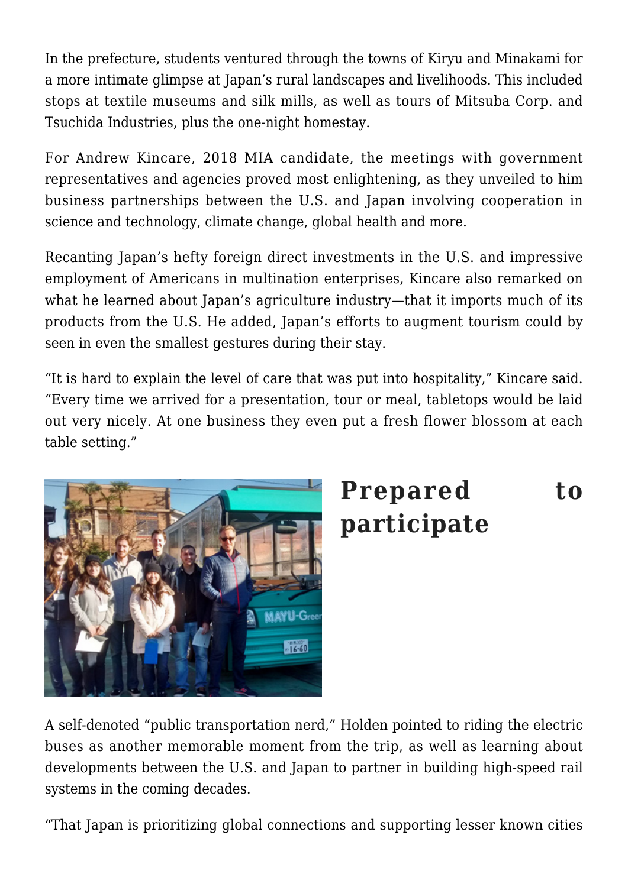In the prefecture, students ventured through the towns of Kiryu and Minakami for a more intimate glimpse at Japan's rural landscapes and livelihoods. This included stops at textile museums and silk mills, as well as tours of Mitsuba Corp. and Tsuchida Industries, plus the one-night homestay.

For Andrew Kincare, 2018 MIA candidate, the meetings with government representatives and agencies proved most enlightening, as they unveiled to him business partnerships between the U.S. and Japan involving cooperation in science and technology, climate change, global health and more.

Recanting Japan's hefty foreign direct investments in the U.S. and impressive employment of Americans in multination enterprises, Kincare also remarked on what he learned about Japan's agriculture industry—that it imports much of its products from the U.S. He added, Japan's efforts to augment tourism could by seen in even the smallest gestures during their stay.

"It is hard to explain the level of care that was put into hospitality," Kincare said. "Every time we arrived for a presentation, tour or meal, tabletops would be laid out very nicely. At one business they even put a fresh flower blossom at each table setting."



## **Prepared to participate**

A self-denoted "public transportation nerd," Holden pointed to riding the electric buses as another memorable moment from the trip, as well as learning about developments between the U.S. and Japan to partner in building high-speed rail systems in the coming decades.

"That Japan is prioritizing global connections and supporting lesser known cities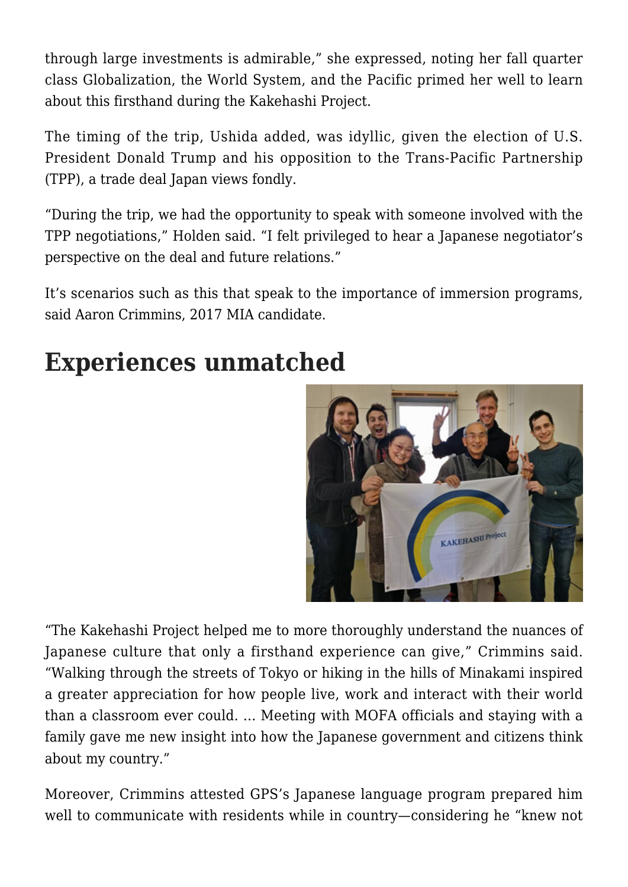through large investments is admirable," she expressed, noting her fall quarter class Globalization, the World System, and the Pacific primed her well to learn about this firsthand during the Kakehashi Project.

The timing of the trip, Ushida added, was idyllic, given the election of U.S. President Donald Trump and his opposition to the Trans-Pacific Partnership (TPP), a trade deal Japan views fondly.

"During the trip, we had the opportunity to speak with someone involved with the TPP negotiations," Holden said. "I felt privileged to hear a Japanese negotiator's perspective on the deal and future relations."

It's scenarios such as this that speak to the importance of immersion programs, said Aaron Crimmins, 2017 MIA candidate.

## **Experiences unmatched**



"The Kakehashi Project helped me to more thoroughly understand the nuances of Japanese culture that only a firsthand experience can give," Crimmins said. "Walking through the streets of Tokyo or hiking in the hills of Minakami inspired a greater appreciation for how people live, work and interact with their world than a classroom ever could. … Meeting with MOFA officials and staying with a family gave me new insight into how the Japanese government and citizens think about my country."

Moreover, Crimmins attested GPS's Japanese language program prepared him well to communicate with residents while in country—considering he "knew not